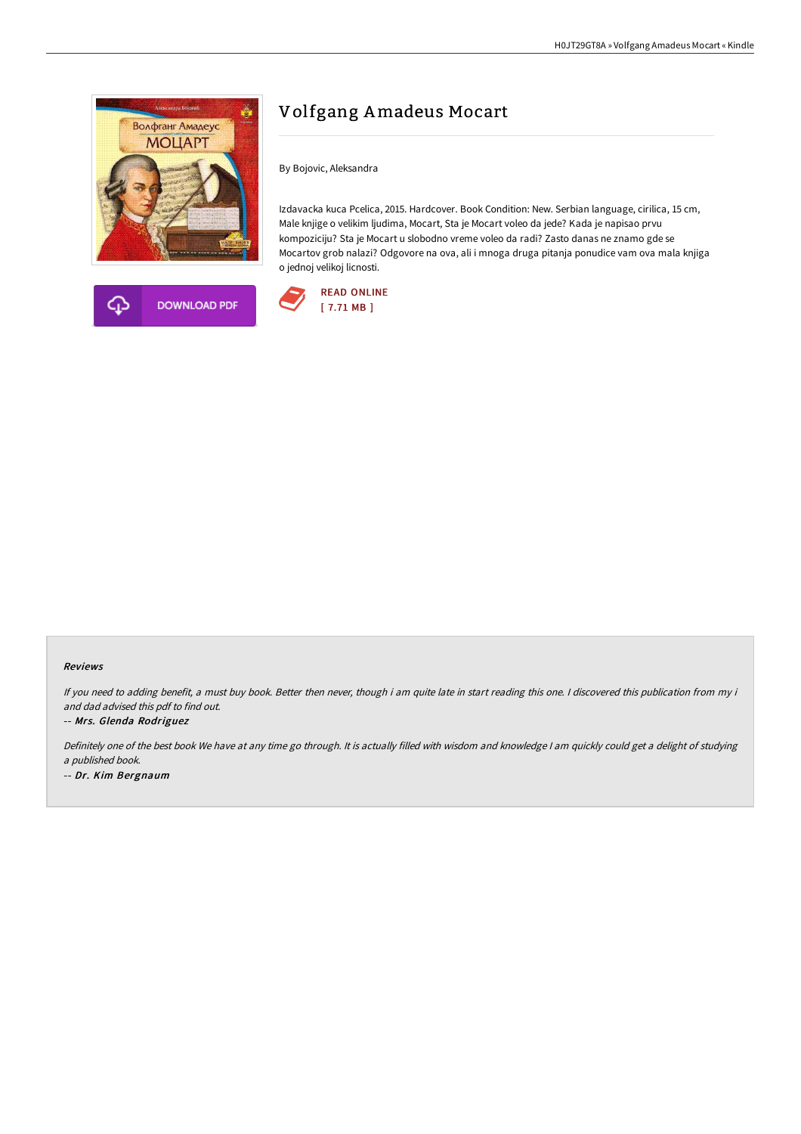



# Volfgang Amadeus Mocart

By Bojovic, Aleksandra

Izdavacka kuca Pcelica, 2015. Hardcover. Book Condition: New. Serbian language, cirilica, 15 cm, Male knjige o velikim ljudima, Mocart, Sta je Mocart voleo da jede? Kada je napisao prvu kompoziciju? Sta je Mocart u slobodno vreme voleo da radi? Zasto danas ne znamo gde se Mocartov grob nalazi? Odgovore na ova, ali i mnoga druga pitanja ponudice vam ova mala knjiga o jednoj velikoj licnosti.



#### Reviews

If you need to adding benefit, a must buy book. Better then never, though i am quite late in start reading this one. I discovered this publication from my i and dad advised this pdf to find out.

#### -- Mrs. Glenda Rodriguez

Definitely one of the best book We have at any time go through. It is actually filled with wisdom and knowledge <sup>I</sup> am quickly could get <sup>a</sup> delight of studying <sup>a</sup> published book. -- Dr. Kim Bergnaum